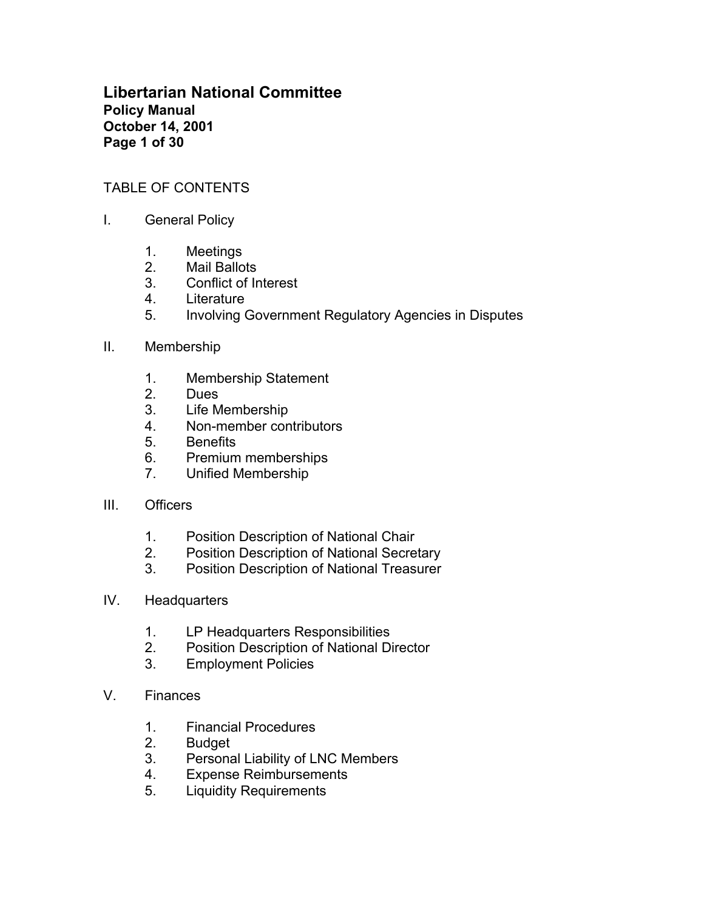**Libertarian National Committee Policy Manual October 14, 2001 Page 1 of 30**

### TABLE OF CONTENTS

- I. General Policy
	- 1. Meetings
	- 2. Mail Ballots
	- 3. Conflict of Interest
	- 4. Literature
	- 5. Involving Government Regulatory Agencies in Disputes
- II. Membership
	- 1. Membership Statement
	- 2. Dues
	- 3. Life Membership
	- 4. Non-member contributors
	- 5. Benefits
	- 6. Premium memberships
	- 7. Unified Membership
- III. Officers
	- 1. Position Description of National Chair
	- 2. Position Description of National Secretary
	- 3. Position Description of National Treasurer
- IV. Headquarters
	- 1. LP Headquarters Responsibilities
	- 2. Position Description of National Director
	- 3. Employment Policies
- V. Finances
	- 1. Financial Procedures
	- 2. Budget
	- 3. Personal Liability of LNC Members
	- 4. Expense Reimbursements
	- 5. Liquidity Requirements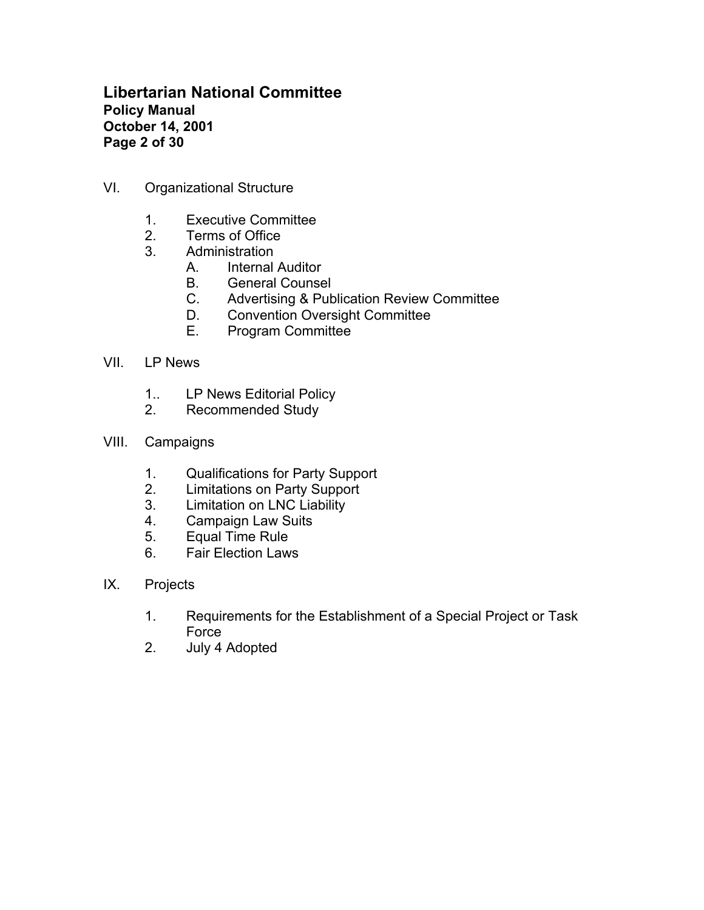# **Libertarian National Committee Policy Manual October 14, 2001 Page 2 of 30**

- VI. Organizational Structure
	- 1. Executive Committee
	- 2. Terms of Office
	- 3. Administration
		- A. Internal Auditor
		- B. General Counsel
		- C. Advertising & Publication Review Committee
		- D. Convention Oversight Committee
		- E. Program Committee
- VII. LP News
	- 1.. LP News Editorial Policy
	- 2. Recommended Study
- VIII. Campaigns
	- 1. Qualifications for Party Support<br>2. Limitations on Party Support
	- Limitations on Party Support
	- 3. Limitation on LNC Liability
	- 4. Campaign Law Suits
	- 5. Equal Time Rule
	- 6. Fair Election Laws
- IX. Projects
	- 1. Requirements for the Establishment of a Special Project or Task Force
	- 2. July 4 Adopted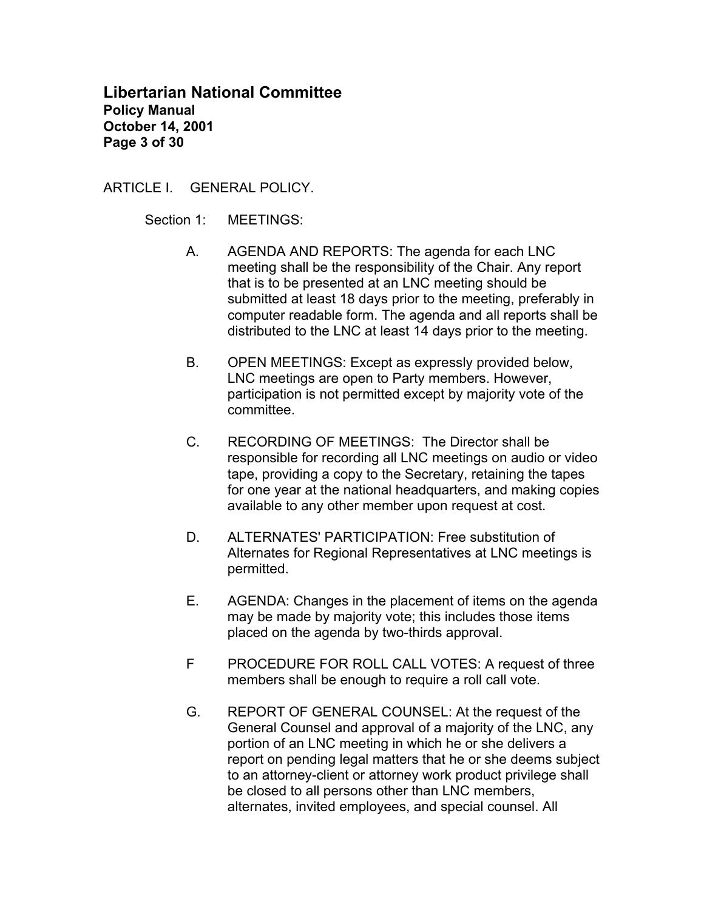## **Libertarian National Committee Policy Manual October 14, 2001 Page 3 of 30**

ARTICLE I. GENERAL POLICY.

Section 1: MEETINGS:

- A. AGENDA AND REPORTS: The agenda for each LNC meeting shall be the responsibility of the Chair. Any report that is to be presented at an LNC meeting should be submitted at least 18 days prior to the meeting, preferably in computer readable form. The agenda and all reports shall be distributed to the LNC at least 14 days prior to the meeting.
- B. OPEN MEETINGS: Except as expressly provided below, LNC meetings are open to Party members. However, participation is not permitted except by majority vote of the committee.
- C. RECORDING OF MEETINGS:The Director shall be responsible for recording all LNC meetings on audio or video tape, providing a copy to the Secretary, retaining the tapes for one year at the national headquarters, and making copies available to any other member upon request at cost.
- D. ALTERNATES' PARTICIPATION: Free substitution of Alternates for Regional Representatives at LNC meetings is permitted.
- E. AGENDA: Changes in the placement of items on the agenda may be made by majority vote; this includes those items placed on the agenda by two-thirds approval.
- F PROCEDURE FOR ROLL CALL VOTES: A request of three members shall be enough to require a roll call vote.
- G. REPORT OF GENERAL COUNSEL: At the request of the General Counsel and approval of a majority of the LNC, any portion of an LNC meeting in which he or she delivers a report on pending legal matters that he or she deems subject to an attorney-client or attorney work product privilege shall be closed to all persons other than LNC members, alternates, invited employees, and special counsel. All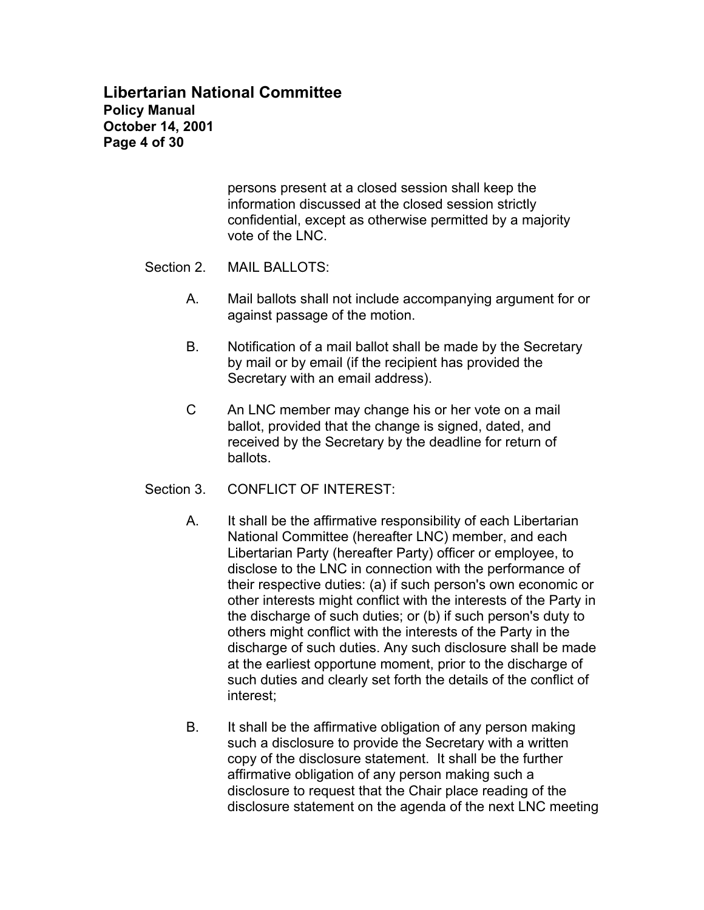# **Libertarian National Committee Policy Manual October 14, 2001 Page 4 of 30**

persons present at a closed session shall keep the information discussed at the closed session strictly confidential, except as otherwise permitted by a majority vote of the LNC.

- Section 2. MAIL BALLOTS:
	- A. Mail ballots shall not include accompanying argument for or against passage of the motion.
	- B. Notification of a mail ballot shall be made by the Secretary by mail or by email (if the recipient has provided the Secretary with an email address).
	- C An LNC member may change his or her vote on a mail ballot, provided that the change is signed, dated, and received by the Secretary by the deadline for return of ballots.
- Section 3 CONFLICT OF INTEREST
	- A. It shall be the affirmative responsibility of each Libertarian National Committee (hereafter LNC) member, and each Libertarian Party (hereafter Party) officer or employee, to disclose to the LNC in connection with the performance of their respective duties: (a) if such person's own economic or other interests might conflict with the interests of the Party in the discharge of such duties; or (b) if such person's duty to others might conflict with the interests of the Party in the discharge of such duties. Any such disclosure shall be made at the earliest opportune moment, prior to the discharge of such duties and clearly set forth the details of the conflict of interest;
	- B. It shall be the affirmative obligation of any person making such a disclosure to provide the Secretary with a written copy of the disclosure statement. It shall be the further affirmative obligation of any person making such a disclosure to request that the Chair place reading of the disclosure statement on the agenda of the next LNC meeting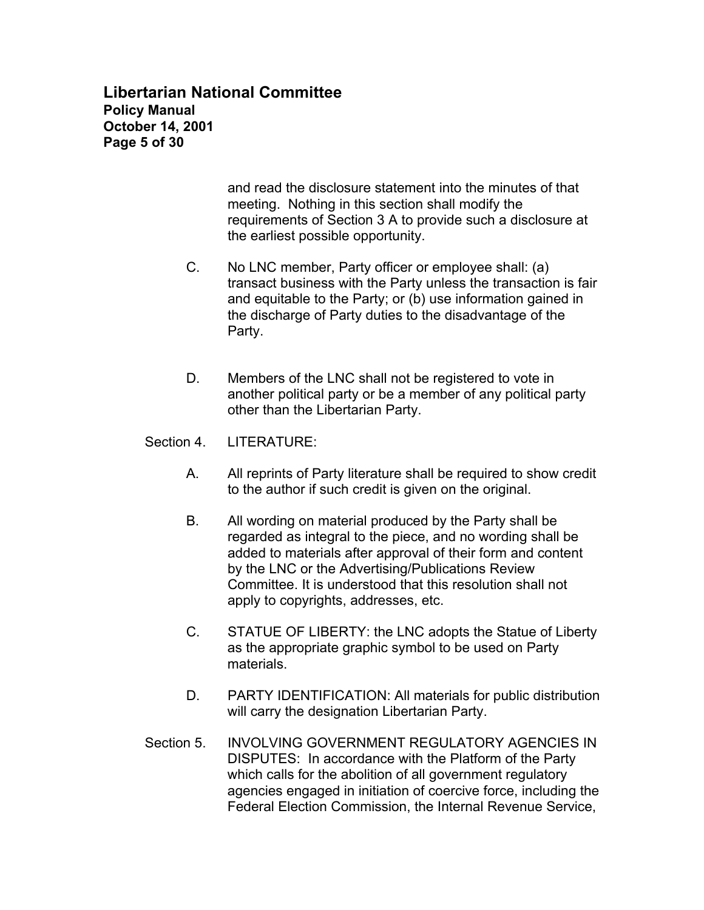## **Libertarian National Committee Policy Manual October 14, 2001 Page 5 of 30**

and read the disclosure statement into the minutes of that meeting. Nothing in this section shall modify the requirements of Section 3 A to provide such a disclosure at the earliest possible opportunity.

- C. No LNC member, Party officer or employee shall: (a) transact business with the Party unless the transaction is fair and equitable to the Party; or (b) use information gained in the discharge of Party duties to the disadvantage of the Party.
- D. Members of the LNC shall not be registered to vote in another political party or be a member of any political party other than the Libertarian Party.
- Section 4. LITERATURE:
	- A. All reprints of Party literature shall be required to show credit to the author if such credit is given on the original.
	- B. All wording on material produced by the Party shall be regarded as integral to the piece, and no wording shall be added to materials after approval of their form and content by the LNC or the Advertising/Publications Review Committee. It is understood that this resolution shall not apply to copyrights, addresses, etc.
	- C. STATUE OF LIBERTY: the LNC adopts the Statue of Liberty as the appropriate graphic symbol to be used on Party materials.
	- D. PARTY IDENTIFICATION: All materials for public distribution will carry the designation Libertarian Party.
- Section 5. INVOLVING GOVERNMENT REGULATORY AGENCIES IN DISPUTES: In accordance with the Platform of the Party which calls for the abolition of all government regulatory agencies engaged in initiation of coercive force, including the Federal Election Commission, the Internal Revenue Service,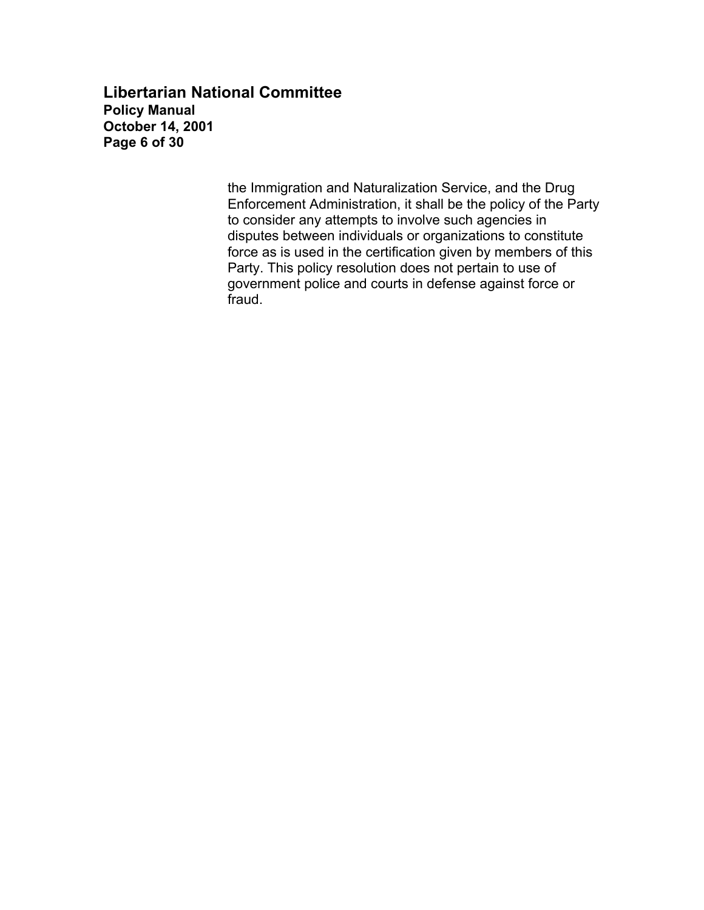### **Libertarian National Committee Policy Manual October 14, 2001 Page 6 of 30**

the Immigration and Naturalization Service, and the Drug Enforcement Administration, it shall be the policy of the Party to consider any attempts to involve such agencies in disputes between individuals or organizations to constitute force as is used in the certification given by members of this Party. This policy resolution does not pertain to use of government police and courts in defense against force or fraud.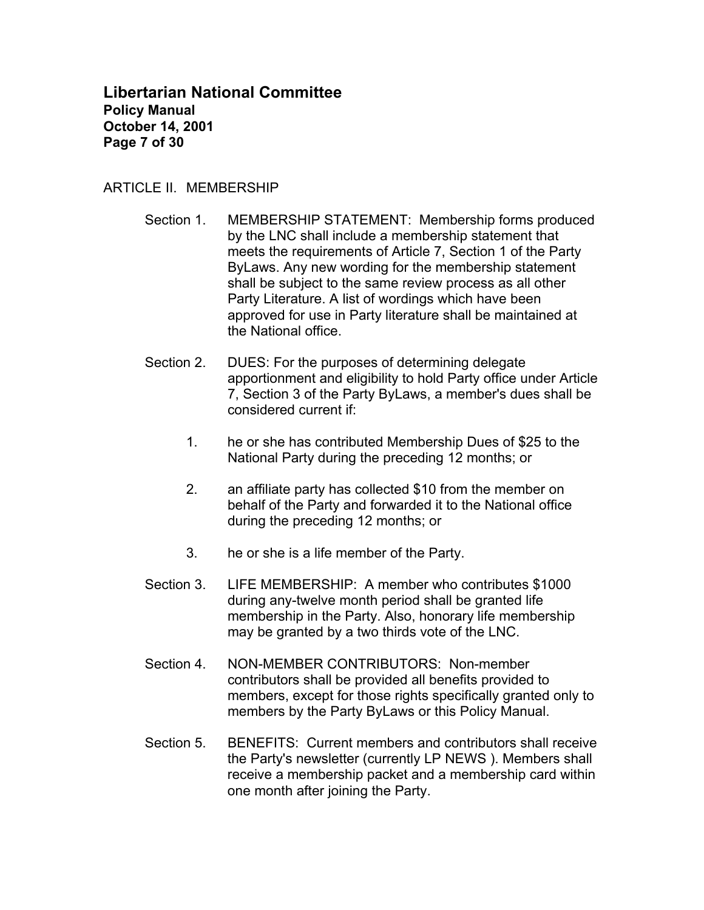### **Libertarian National Committee Policy Manual October 14, 2001 Page 7 of 30**

### ARTICLE II. MEMBERSHIP

- Section 1. MEMBERSHIP STATEMENT: Membership forms produced by the LNC shall include a membership statement that meets the requirements of Article 7, Section 1 of the Party ByLaws. Any new wording for the membership statement shall be subject to the same review process as all other Party Literature. A list of wordings which have been approved for use in Party literature shall be maintained at the National office.
- Section 2. DUES: For the purposes of determining delegate apportionment and eligibility to hold Party office under Article 7, Section 3 of the Party ByLaws, a member's dues shall be considered current if:
	- 1. he or she has contributed Membership Dues of \$25 to the National Party during the preceding 12 months; or
	- 2. an affiliate party has collected \$10 from the member on behalf of the Party and forwarded it to the National office during the preceding 12 months; or
	- 3. he or she is a life member of the Party.
- Section 3. LIFE MEMBERSHIP: A member who contributes \$1000 during any-twelve month period shall be granted life membership in the Party. Also, honorary life membership may be granted by a two thirds vote of the LNC.
- Section 4. NON-MEMBER CONTRIBUTORS: Non-member contributors shall be provided all benefits provided to members, except for those rights specifically granted only to members by the Party ByLaws or this Policy Manual.
- Section 5. BENEFITS: Current members and contributors shall receive the Party's newsletter (currently LP NEWS ). Members shall receive a membership packet and a membership card within one month after joining the Party.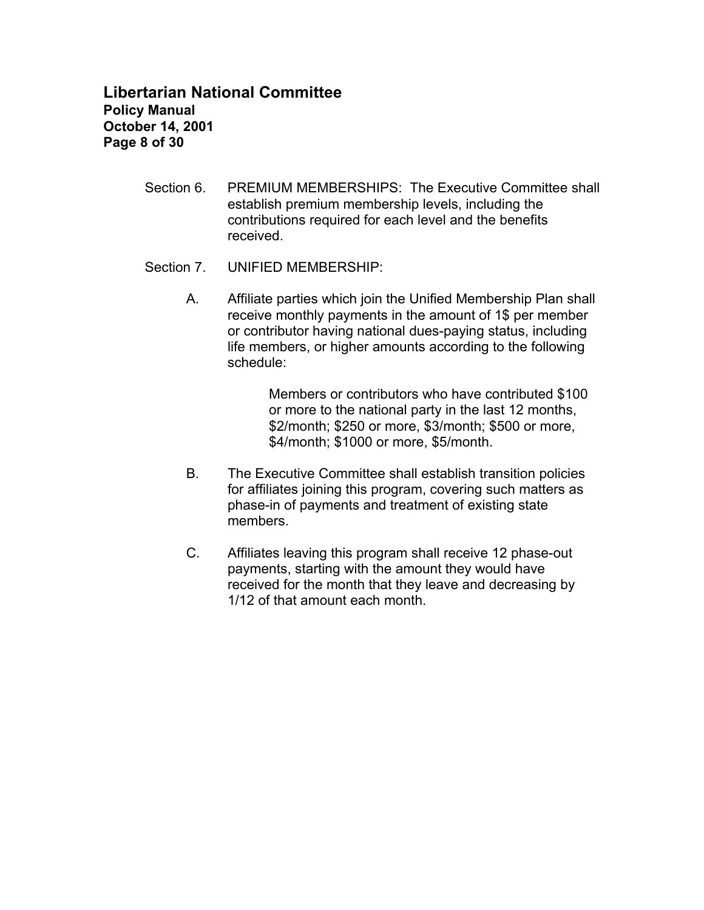# **Libertarian National Committee Policy Manual October 14, 2001 Page 8 of 30**

- Section 6. PREMIUM MEMBERSHIPS: The Executive Committee shall establish premium membership levels, including the contributions required for each level and the benefits received.
- Section 7. UNIFIED MEMBERSHIP:
	- A. Affiliate parties which join the Unified Membership Plan shall receive monthly payments in the amount of 1\$ per member or contributor having national dues-paying status, including life members, or higher amounts according to the following schedule:

Members or contributors who have contributed \$100 or more to the national party in the last 12 months, \$2/month; \$250 or more, \$3/month; \$500 or more, \$4/month; \$1000 or more, \$5/month.

- B. The Executive Committee shall establish transition policies for affiliates joining this program, covering such matters as phase-in of payments and treatment of existing state members.
- C. Affiliates leaving this program shall receive 12 phase-out payments, starting with the amount they would have received for the month that they leave and decreasing by 1/12 of that amount each month.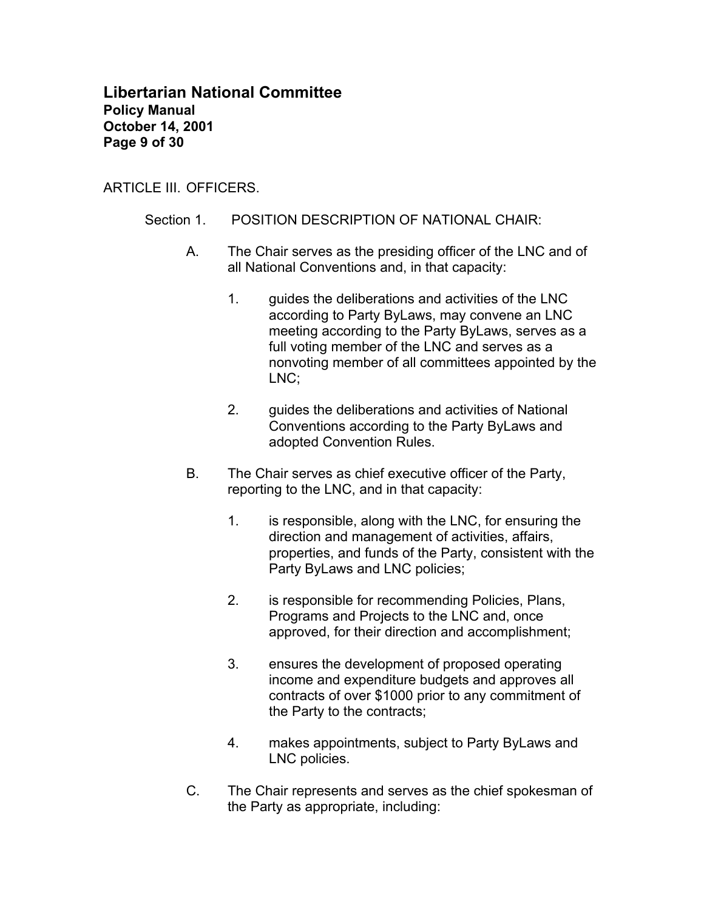### **Libertarian National Committee Policy Manual October 14, 2001 Page 9 of 30**

ARTICLE III. OFFICERS.

- Section 1. POSITION DESCRIPTION OF NATIONAL CHAIR:
	- A. The Chair serves as the presiding officer of the LNC and of all National Conventions and, in that capacity:
		- 1. guides the deliberations and activities of the LNC according to Party ByLaws, may convene an LNC meeting according to the Party ByLaws, serves as a full voting member of the LNC and serves as a nonvoting member of all committees appointed by the LNC;
		- 2. guides the deliberations and activities of National Conventions according to the Party ByLaws and adopted Convention Rules.
	- B. The Chair serves as chief executive officer of the Party, reporting to the LNC, and in that capacity:
		- 1. is responsible, along with the LNC, for ensuring the direction and management of activities, affairs, properties, and funds of the Party, consistent with the Party ByLaws and LNC policies;
		- 2. is responsible for recommending Policies, Plans, Programs and Projects to the LNC and, once approved, for their direction and accomplishment;
		- 3. ensures the development of proposed operating income and expenditure budgets and approves all contracts of over \$1000 prior to any commitment of the Party to the contracts;
		- 4. makes appointments, subject to Party ByLaws and LNC policies.
	- C. The Chair represents and serves as the chief spokesman of the Party as appropriate, including: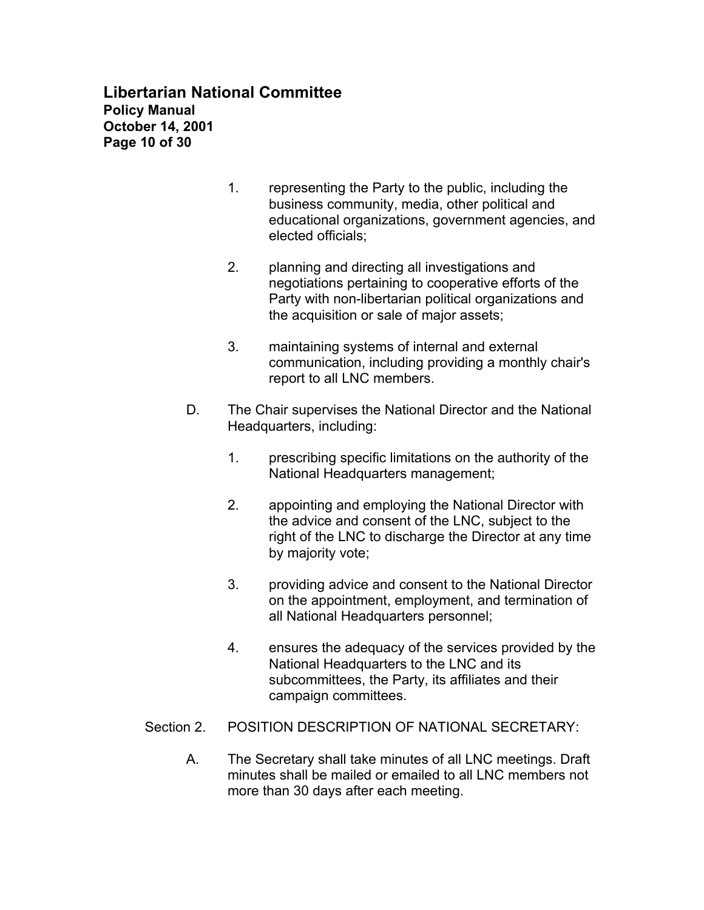# **Libertarian National Committee Policy Manual October 14, 2001 Page 10 of 30**

- 1. representing the Party to the public, including the business community, media, other political and educational organizations, government agencies, and elected officials;
- 2. planning and directing all investigations and negotiations pertaining to cooperative efforts of the Party with non-libertarian political organizations and the acquisition or sale of major assets;
- 3. maintaining systems of internal and external communication, including providing a monthly chair's report to all LNC members.
- D. The Chair supervises the National Director and the National Headquarters, including:
	- 1. prescribing specific limitations on the authority of the National Headquarters management;
	- 2. appointing and employing the National Director with the advice and consent of the LNC, subject to the right of the LNC to discharge the Director at any time by majority vote;
	- 3. providing advice and consent to the National Director on the appointment, employment, and termination of all National Headquarters personnel;
	- 4. ensures the adequacy of the services provided by the National Headquarters to the LNC and its subcommittees, the Party, its affiliates and their campaign committees.
- Section 2. POSITION DESCRIPTION OF NATIONAL SECRETARY:
	- A. The Secretary shall take minutes of all LNC meetings. Draft minutes shall be mailed or emailed to all LNC members not more than 30 days after each meeting.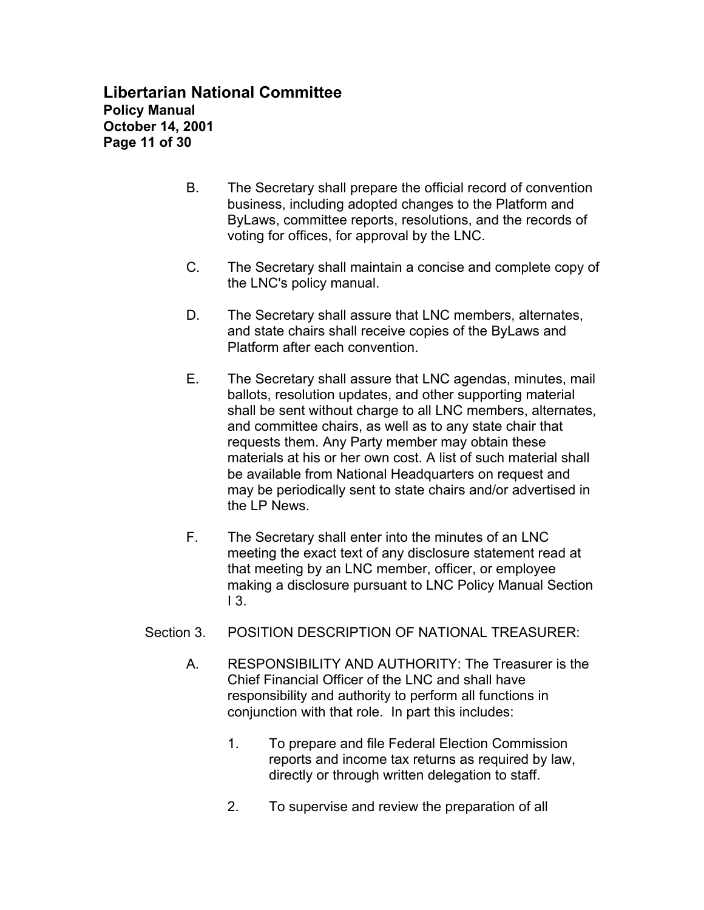# **Libertarian National Committee Policy Manual October 14, 2001 Page 11 of 30**

- B. The Secretary shall prepare the official record of convention business, including adopted changes to the Platform and ByLaws, committee reports, resolutions, and the records of voting for offices, for approval by the LNC.
- C. The Secretary shall maintain a concise and complete copy of the LNC's policy manual.
- D. The Secretary shall assure that LNC members, alternates, and state chairs shall receive copies of the ByLaws and Platform after each convention.
- E. The Secretary shall assure that LNC agendas, minutes, mail ballots, resolution updates, and other supporting material shall be sent without charge to all LNC members, alternates, and committee chairs, as well as to any state chair that requests them. Any Party member may obtain these materials at his or her own cost. A list of such material shall be available from National Headquarters on request and may be periodically sent to state chairs and/or advertised in the LP News.
- F. The Secretary shall enter into the minutes of an LNC meeting the exact text of any disclosure statement read at that meeting by an LNC member, officer, or employee making a disclosure pursuant to LNC Policy Manual Section  $13.$
- Section 3. POSITION DESCRIPTION OF NATIONAL TREASURER:
	- A. RESPONSIBILITY AND AUTHORITY: The Treasurer is the Chief Financial Officer of the LNC and shall have responsibility and authority to perform all functions in conjunction with that role. In part this includes:
		- 1. To prepare and file Federal Election Commission reports and income tax returns as required by law, directly or through written delegation to staff.
		- 2. To supervise and review the preparation of all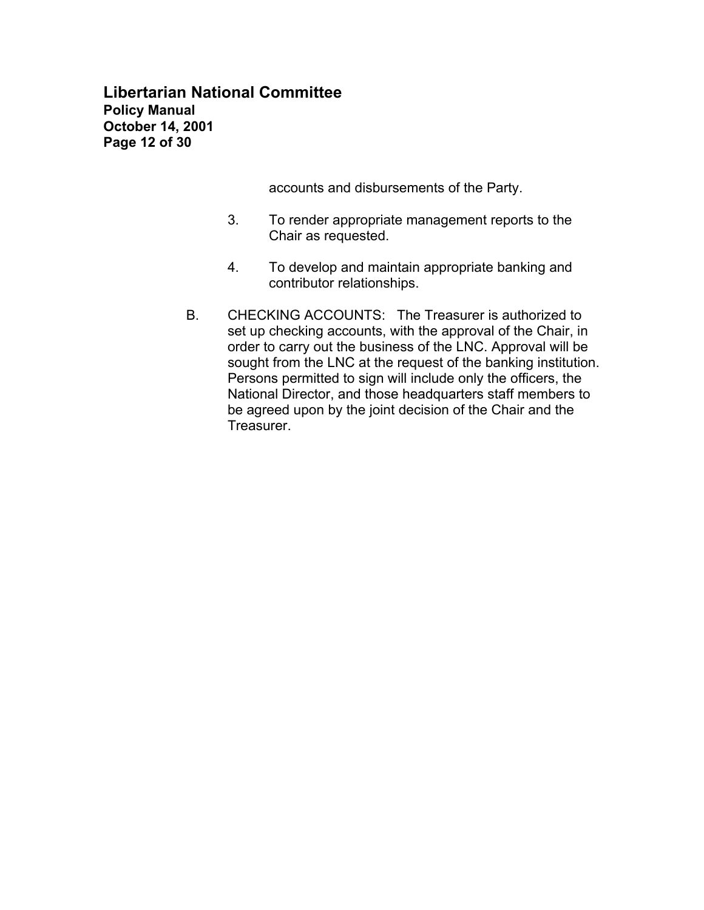**Libertarian National Committee Policy Manual October 14, 2001 Page 12 of 30**

accounts and disbursements of the Party.

- 3. To render appropriate management reports to the Chair as requested.
- 4. To develop and maintain appropriate banking and contributor relationships.
- B. CHECKING ACCOUNTS: The Treasurer is authorized to set up checking accounts, with the approval of the Chair, in order to carry out the business of the LNC. Approval will be sought from the LNC at the request of the banking institution. Persons permitted to sign will include only the officers, the National Director, and those headquarters staff members to be agreed upon by the joint decision of the Chair and the Treasurer.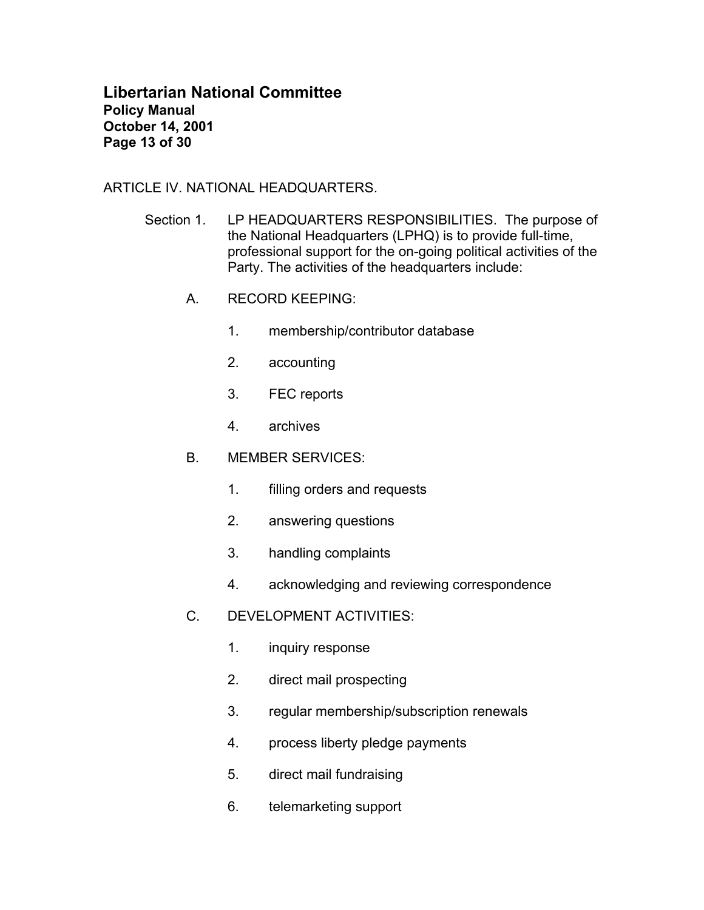## **Libertarian National Committee Policy Manual October 14, 2001 Page 13 of 30**

ARTICLE IV. NATIONAL HEADQUARTERS.

- Section 1. LP HEADQUARTERS RESPONSIBILITIES. The purpose of the National Headquarters (LPHQ) is to provide full-time, professional support for the on-going political activities of the Party. The activities of the headquarters include:
	- A. RECORD KEEPING:
		- 1. membership/contributor database
		- 2. accounting
		- 3. FEC reports
		- 4. archives
	- B. MEMBER SERVICES:
		- 1. filling orders and requests
		- 2. answering questions
		- 3. handling complaints
		- 4. acknowledging and reviewing correspondence
	- C. DEVELOPMENT ACTIVITIES:
		- 1. inquiry response
		- 2. direct mail prospecting
		- 3. regular membership/subscription renewals
		- 4. process liberty pledge payments
		- 5. direct mail fundraising
		- 6. telemarketing support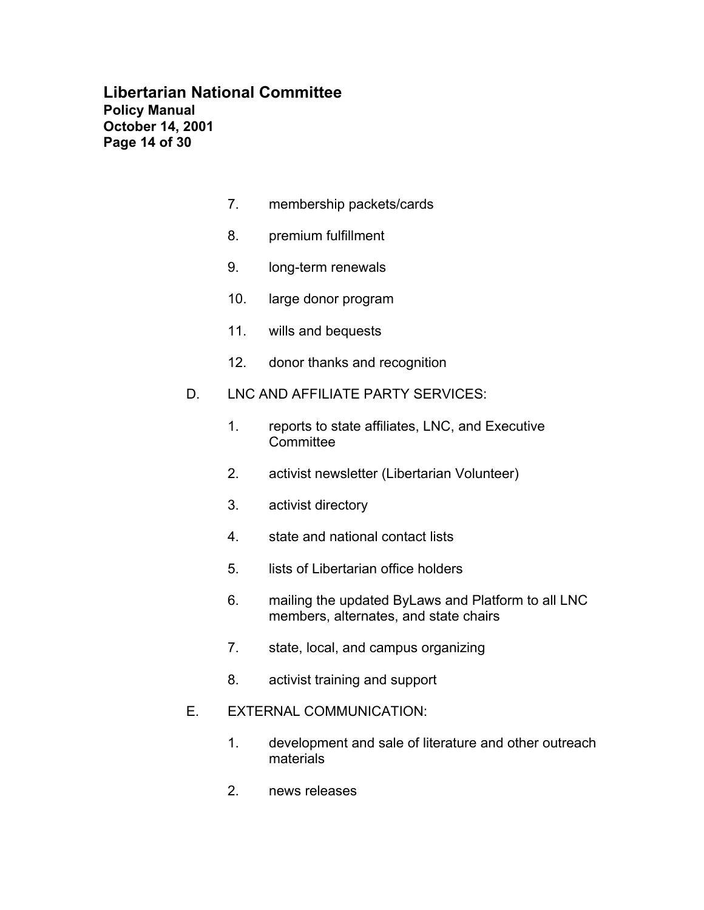## **Libertarian National Committee Policy Manual October 14, 2001 Page 14 of 30**

- 7. membership packets/cards
- 8. premium fulfillment
- 9. long-term renewals
- 10. large donor program
- 11. wills and bequests
- 12. donor thanks and recognition
- D. LNC AND AFFILIATE PARTY SERVICES:
	- 1. reports to state affiliates, LNC, and Executive **Committee**
	- 2. activist newsletter (Libertarian Volunteer)
	- 3. activist directory
	- 4. state and national contact lists
	- 5. lists of Libertarian office holders
	- 6. mailing the updated ByLaws and Platform to all LNC members, alternates, and state chairs
	- 7. state, local, and campus organizing
	- 8. activist training and support

#### E. EXTERNAL COMMUNICATION:

- 1. development and sale of literature and other outreach materials
- 2. news releases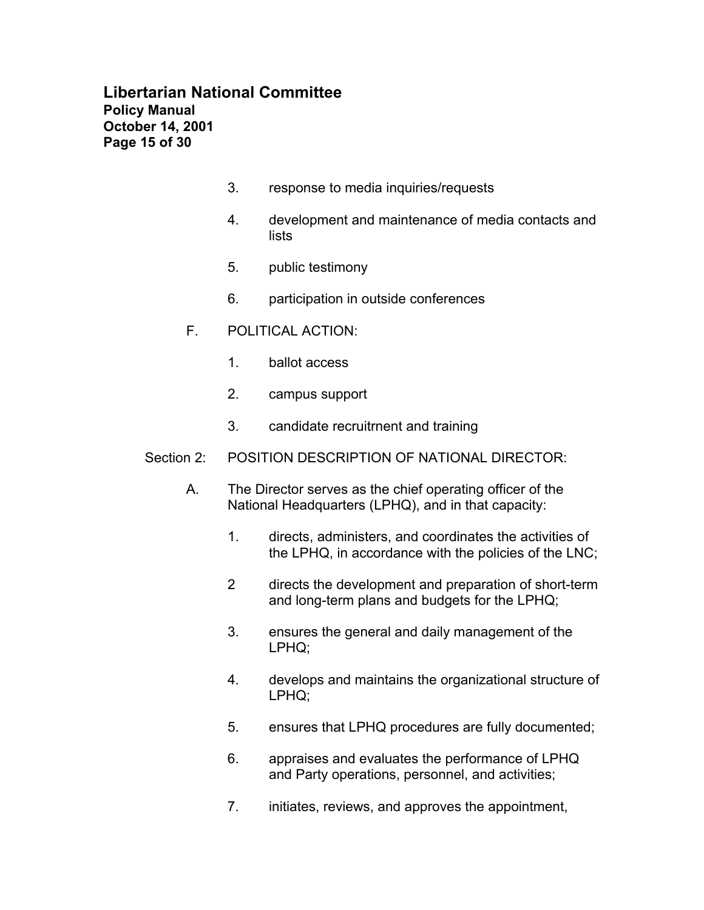# **Libertarian National Committee Policy Manual October 14, 2001 Page 15 of 30**

- 3. response to media inquiries/requests
- 4. development and maintenance of media contacts and lists
- 5. public testimony
- 6. participation in outside conferences
- F. POLITICAL ACTION:
	- 1. ballot access
	- 2. campus support
	- 3. candidate recruitrnent and training
- Section 2: POSITION DESCRIPTION OF NATIONAL DIRECTOR:
	- A. The Director serves as the chief operating officer of the National Headquarters (LPHQ), and in that capacity:
		- 1. directs, administers, and coordinates the activities of the LPHQ, in accordance with the policies of the LNC;
		- 2 directs the development and preparation of short-term and long-term plans and budgets for the LPHQ;
		- 3. ensures the general and daily management of the LPHQ;
		- 4. develops and maintains the organizational structure of LPHQ;
		- 5. ensures that LPHQ procedures are fully documented;
		- 6. appraises and evaluates the performance of LPHQ and Party operations, personnel, and activities;
		- 7. initiates, reviews, and approves the appointment,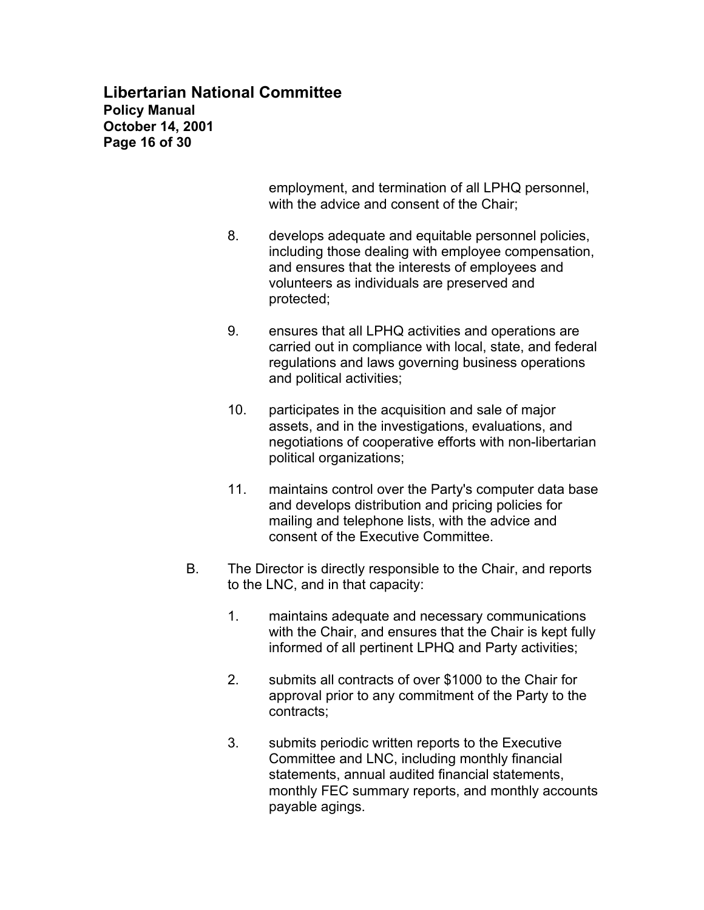# **Libertarian National Committee Policy Manual October 14, 2001 Page 16 of 30**

employment, and termination of all LPHQ personnel, with the advice and consent of the Chair;

- 8. develops adequate and equitable personnel policies, including those dealing with employee compensation, and ensures that the interests of employees and volunteers as individuals are preserved and protected;
- 9. ensures that all LPHQ activities and operations are carried out in compliance with local, state, and federal regulations and laws governing business operations and political activities;
- 10. participates in the acquisition and sale of major assets, and in the investigations, evaluations, and negotiations of cooperative efforts with non-libertarian political organizations;
- 11. maintains control over the Party's computer data base and develops distribution and pricing policies for mailing and telephone lists, with the advice and consent of the Executive Committee.
- B. The Director is directly responsible to the Chair, and reports to the LNC, and in that capacity:
	- 1. maintains adequate and necessary communications with the Chair, and ensures that the Chair is kept fully informed of all pertinent LPHQ and Party activities;
	- 2. submits all contracts of over \$1000 to the Chair for approval prior to any commitment of the Party to the contracts;
	- 3. submits periodic written reports to the Executive Committee and LNC, including monthly financial statements, annual audited financial statements, monthly FEC summary reports, and monthly accounts payable agings.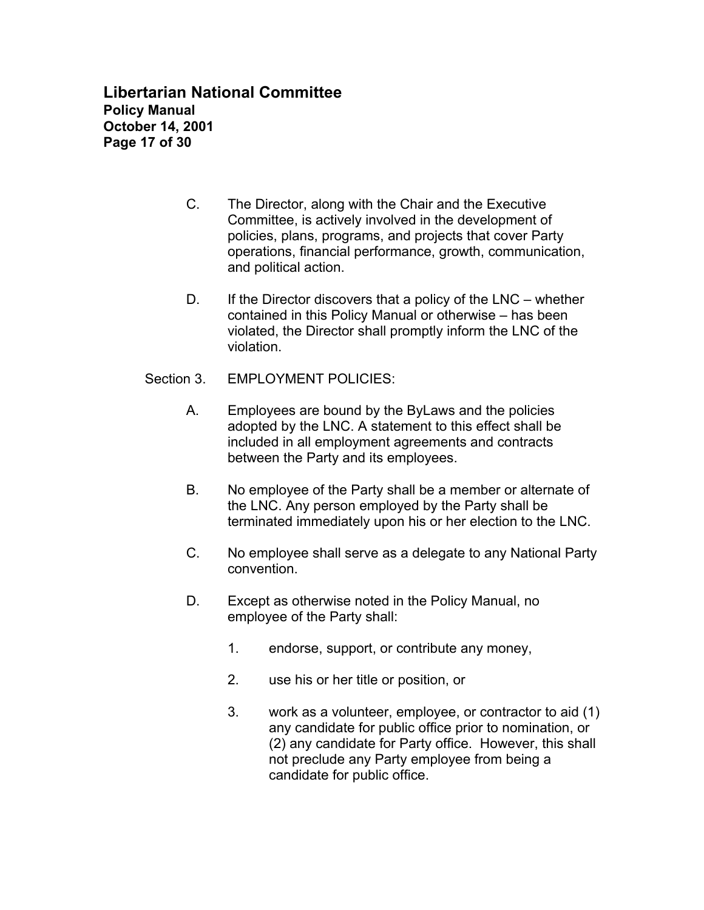**Libertarian National Committee Policy Manual October 14, 2001 Page 17 of 30**

- C. The Director, along with the Chair and the Executive Committee, is actively involved in the development of policies, plans, programs, and projects that cover Party operations, financial performance, growth, communication, and political action.
- D. If the Director discovers that a policy of the LNC whether contained in this Policy Manual or otherwise – has been violated, the Director shall promptly inform the LNC of the violation.
- Section 3. EMPLOYMENT POLICIES:
	- A. Employees are bound by the ByLaws and the policies adopted by the LNC. A statement to this effect shall be included in all employment agreements and contracts between the Party and its employees.
	- B. No employee of the Party shall be a member or alternate of the LNC. Any person employed by the Party shall be terminated immediately upon his or her election to the LNC.
	- C. No employee shall serve as a delegate to any National Party convention.
	- D. Except as otherwise noted in the Policy Manual, no employee of the Party shall:
		- 1. endorse, support, or contribute any money,
		- 2. use his or her title or position, or
		- 3. work as a volunteer, employee, or contractor to aid (1) any candidate for public office prior to nomination, or (2) any candidate for Party office. However, this shall not preclude any Party employee from being a candidate for public office.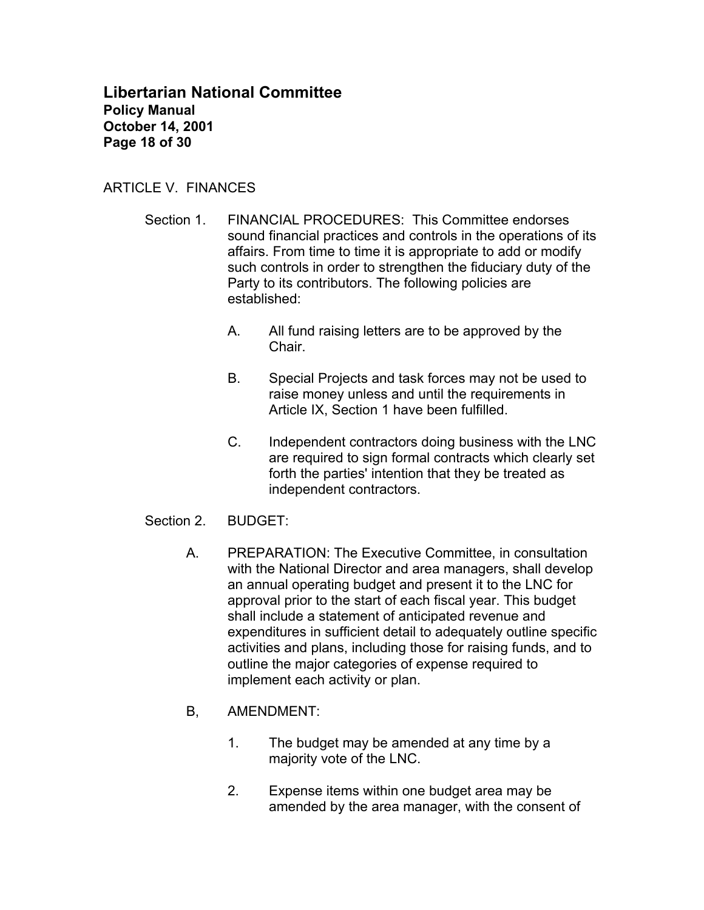**Libertarian National Committee Policy Manual October 14, 2001 Page 18 of 30**

### ARTICLE V. FINANCES

- Section 1. FINANCIAL PROCEDURES: This Committee endorses sound financial practices and controls in the operations of its affairs. From time to time it is appropriate to add or modify such controls in order to strengthen the fiduciary duty of the Party to its contributors. The following policies are established:
	- A. All fund raising letters are to be approved by the Chair.
	- B. Special Projects and task forces may not be used to raise money unless and until the requirements in Article IX, Section 1 have been fulfilled.
	- C. Independent contractors doing business with the LNC are required to sign formal contracts which clearly set forth the parties' intention that they be treated as independent contractors.
- Section 2. BUDGET:
	- A. PREPARATION: The Executive Committee, in consultation with the National Director and area managers, shall develop an annual operating budget and present it to the LNC for approval prior to the start of each fiscal year. This budget shall include a statement of anticipated revenue and expenditures in sufficient detail to adequately outline specific activities and plans, including those for raising funds, and to outline the major categories of expense required to implement each activity or plan.
	- B, AMENDMENT:
		- 1. The budget may be amended at any time by a majority vote of the LNC.
		- 2. Expense items within one budget area may be amended by the area manager, with the consent of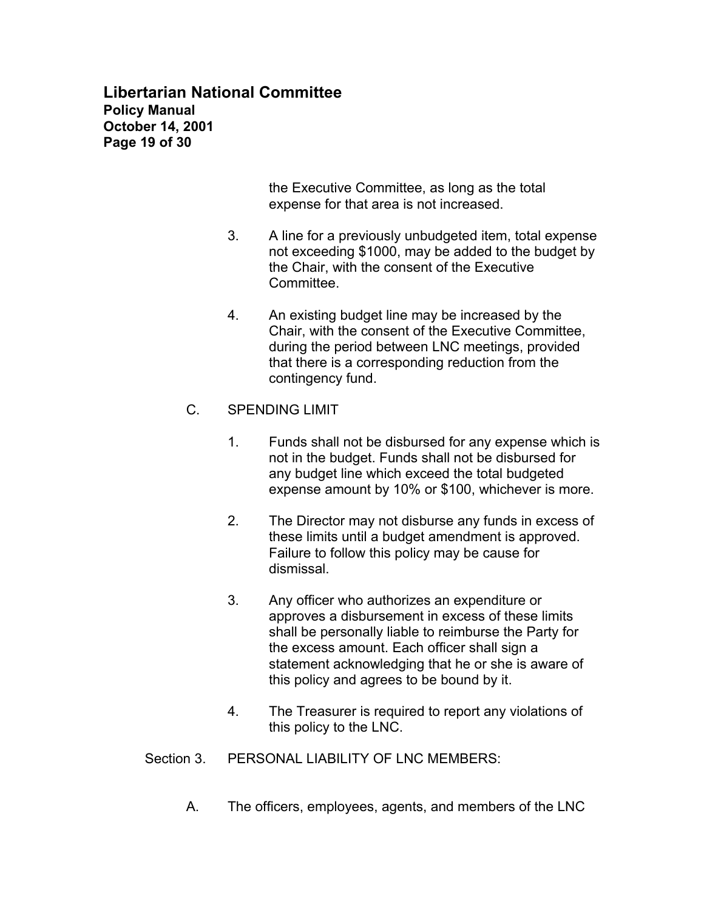# **Libertarian National Committee Policy Manual October 14, 2001 Page 19 of 30**

the Executive Committee, as long as the total expense for that area is not increased.

- 3. A line for a previously unbudgeted item, total expense not exceeding \$1000, may be added to the budget by the Chair, with the consent of the Executive Committee.
- 4. An existing budget line may be increased by the Chair, with the consent of the Executive Committee, during the period between LNC meetings, provided that there is a corresponding reduction from the contingency fund.

### C. SPENDING LIMIT

- 1. Funds shall not be disbursed for any expense which is not in the budget. Funds shall not be disbursed for any budget line which exceed the total budgeted expense amount by 10% or \$100, whichever is more.
- 2. The Director may not disburse any funds in excess of these limits until a budget amendment is approved. Failure to follow this policy may be cause for dismissal.
- 3. Any officer who authorizes an expenditure or approves a disbursement in excess of these limits shall be personally liable to reimburse the Party for the excess amount. Each officer shall sign a statement acknowledging that he or she is aware of this policy and agrees to be bound by it.
- 4. The Treasurer is required to report any violations of this policy to the LNC.
- Section 3. PERSONAL LIABILITY OF LNC MEMBERS:
	- A. The officers, employees, agents, and members of the LNC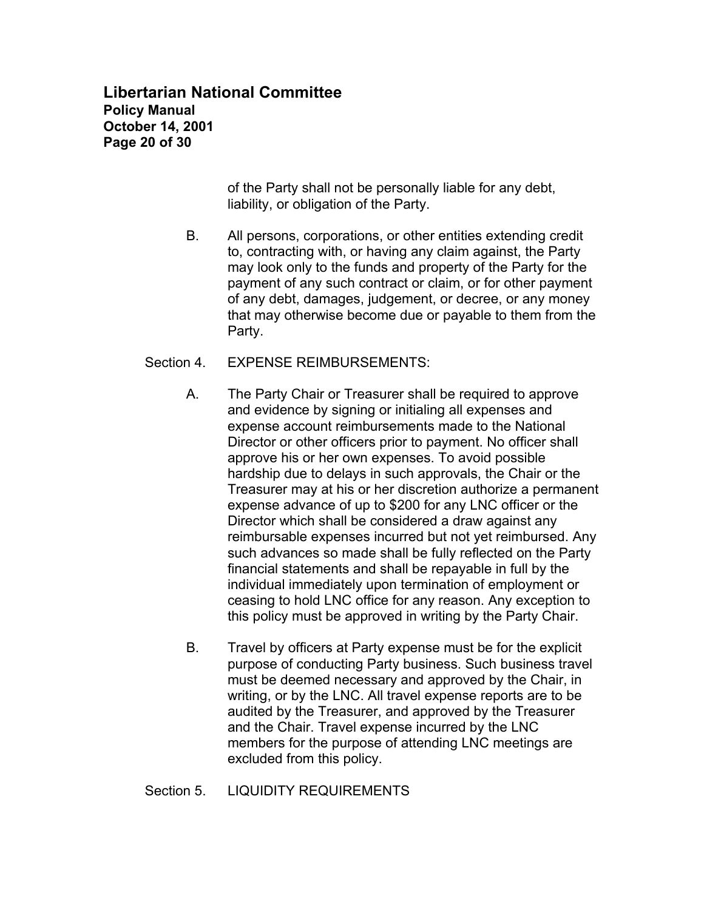# **Libertarian National Committee Policy Manual October 14, 2001 Page 20 of 30**

of the Party shall not be personally liable for any debt, liability, or obligation of the Party.

B. All persons, corporations, or other entities extending credit to, contracting with, or having any claim against, the Party may look only to the funds and property of the Party for the payment of any such contract or claim, or for other payment of any debt, damages, judgement, or decree, or any money that may otherwise become due or payable to them from the Party.

### Section 4. EXPENSE REIMBURSEMENTS:

- A. The Party Chair or Treasurer shall be required to approve and evidence by signing or initialing all expenses and expense account reimbursements made to the National Director or other officers prior to payment. No officer shall approve his or her own expenses. To avoid possible hardship due to delays in such approvals, the Chair or the Treasurer may at his or her discretion authorize a permanent expense advance of up to \$200 for any LNC officer or the Director which shall be considered a draw against any reimbursable expenses incurred but not yet reimbursed. Any such advances so made shall be fully reflected on the Party financial statements and shall be repayable in full by the individual immediately upon termination of employment or ceasing to hold LNC office for any reason. Any exception to this policy must be approved in writing by the Party Chair.
- B. Travel by officers at Party expense must be for the explicit purpose of conducting Party business. Such business travel must be deemed necessary and approved by the Chair, in writing, or by the LNC. All travel expense reports are to be audited by the Treasurer, and approved by the Treasurer and the Chair. Travel expense incurred by the LNC members for the purpose of attending LNC meetings are excluded from this policy.

# Section 5. LIQUIDITY REQUIREMENTS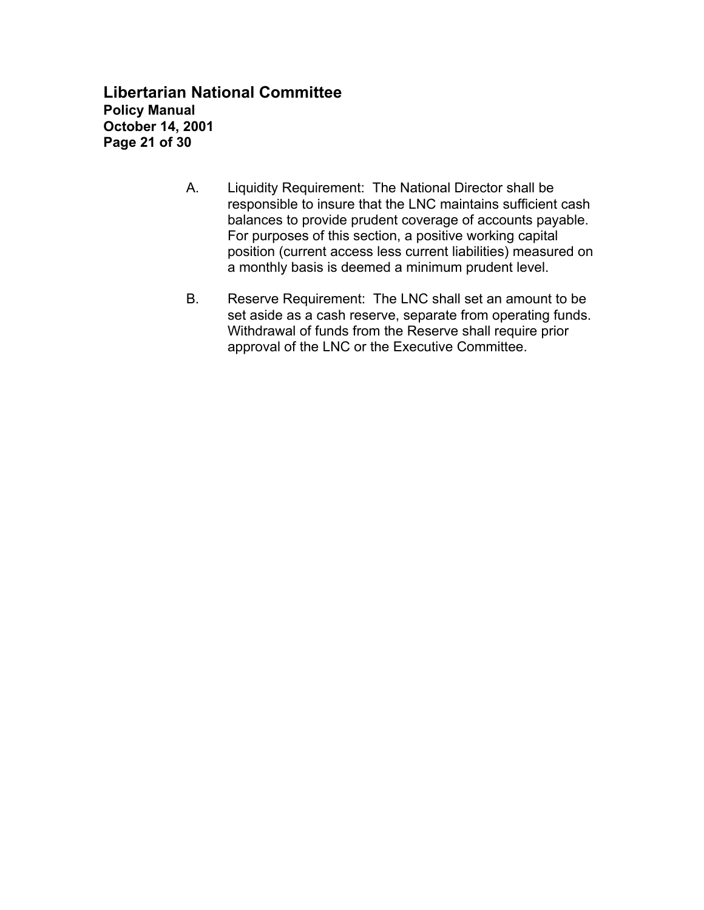**Libertarian National Committee Policy Manual October 14, 2001 Page 21 of 30**

- A. Liquidity Requirement: The National Director shall be responsible to insure that the LNC maintains sufficient cash balances to provide prudent coverage of accounts payable. For purposes of this section, a positive working capital position (current access less current liabilities) measured on a monthly basis is deemed a minimum prudent level.
- B. Reserve Requirement: The LNC shall set an amount to be set aside as a cash reserve, separate from operating funds. Withdrawal of funds from the Reserve shall require prior approval of the LNC or the Executive Committee.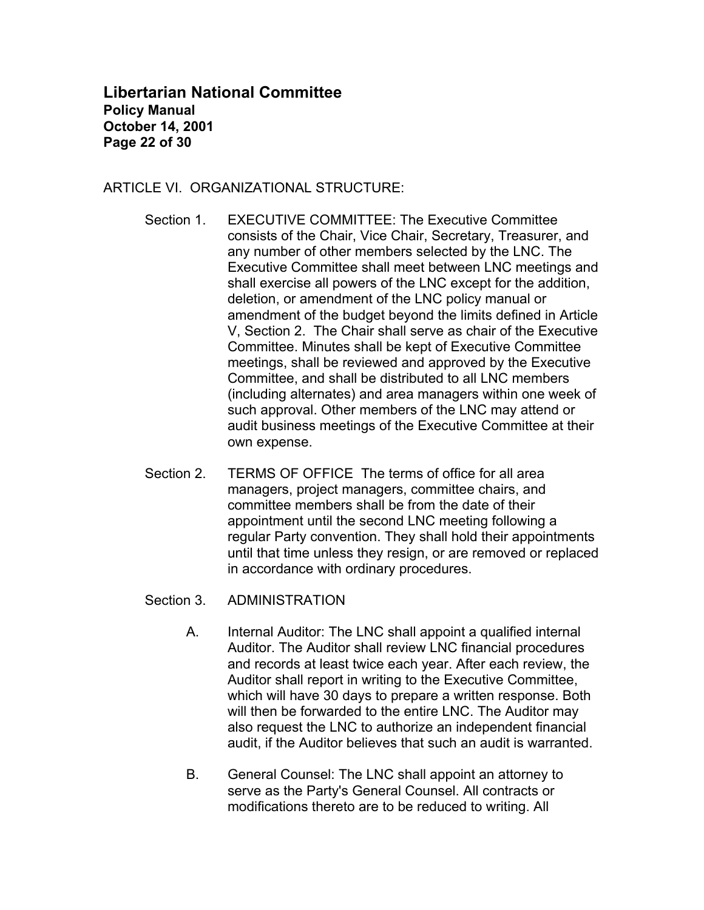**Libertarian National Committee Policy Manual October 14, 2001 Page 22 of 30**

### ARTICLE VI. ORGANIZATIONAL STRUCTURE:

- Section 1. EXECUTIVE COMMITTEE: The Executive Committee consists of the Chair, Vice Chair, Secretary, Treasurer, and any number of other members selected by the LNC. The Executive Committee shall meet between LNC meetings and shall exercise all powers of the LNC except for the addition, deletion, or amendment of the LNC policy manual or amendment of the budget beyond the limits defined in Article V, Section 2. The Chair shall serve as chair of the Executive Committee. Minutes shall be kept of Executive Committee meetings, shall be reviewed and approved by the Executive Committee, and shall be distributed to all LNC members (including alternates) and area managers within one week of such approval. Other members of the LNC may attend or audit business meetings of the Executive Committee at their own expense.
- Section 2. TERMS OF OFFICE The terms of office for all area managers, project managers, committee chairs, and committee members shall be from the date of their appointment until the second LNC meeting following a regular Party convention. They shall hold their appointments until that time unless they resign, or are removed or replaced in accordance with ordinary procedures.
- Section 3. ADMINISTRATION
	- A. Internal Auditor: The LNC shall appoint a qualified internal Auditor. The Auditor shall review LNC financial procedures and records at least twice each year. After each review, the Auditor shall report in writing to the Executive Committee, which will have 30 days to prepare a written response. Both will then be forwarded to the entire LNC. The Auditor may also request the LNC to authorize an independent financial audit, if the Auditor believes that such an audit is warranted.
	- B. General Counsel: The LNC shall appoint an attorney to serve as the Party's General Counsel. All contracts or modifications thereto are to be reduced to writing. All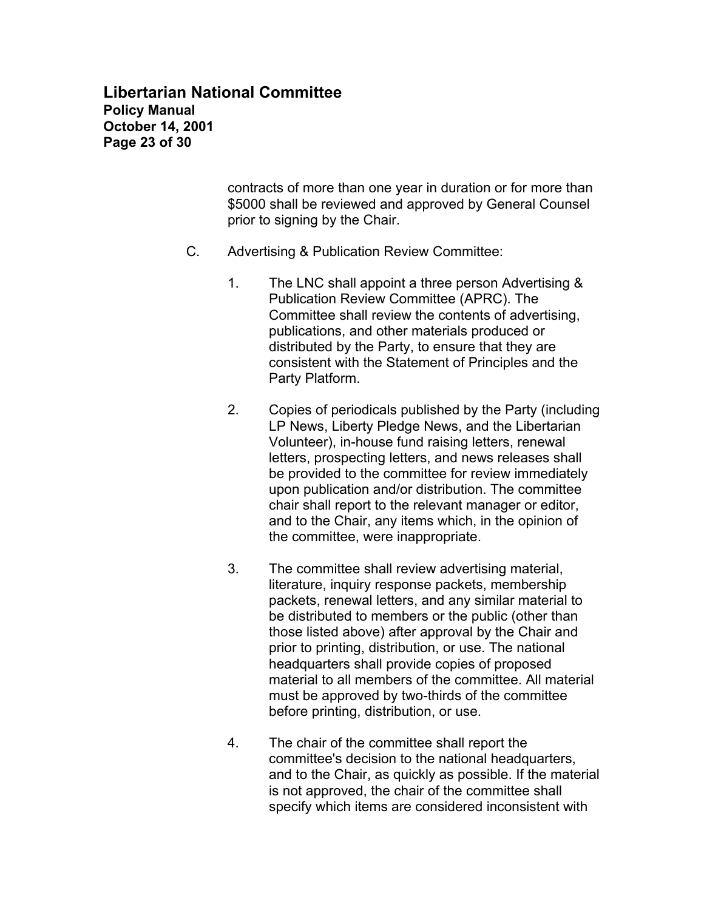# **Libertarian National Committee Policy Manual October 14, 2001 Page 23 of 30**

contracts of more than one year in duration or for more than \$5000 shall be reviewed and approved by General Counsel prior to signing by the Chair.

- C. Advertising & Publication Review Committee:
	- 1. The LNC shall appoint a three person Advertising & Publication Review Committee (APRC). The Committee shall review the contents of advertising, publications, and other materials produced or distributed by the Party, to ensure that they are consistent with the Statement of Principles and the Party Platform.
	- 2. Copies of periodicals published by the Party (including LP News, Liberty Pledge News, and the Libertarian Volunteer), in-house fund raising letters, renewal letters, prospecting letters, and news releases shall be provided to the committee for review immediately upon publication and/or distribution. The committee chair shall report to the relevant manager or editor, and to the Chair, any items which, in the opinion of the committee, were inappropriate.
	- 3. The committee shall review advertising material, literature, inquiry response packets, membership packets, renewal letters, and any similar material to be distributed to members or the public (other than those listed above) after approval by the Chair and prior to printing, distribution, or use. The national headquarters shall provide copies of proposed material to all members of the committee. All material must be approved by two-thirds of the committee before printing, distribution, or use.
	- 4. The chair of the committee shall report the committee's decision to the national headquarters, and to the Chair, as quickly as possible. If the material is not approved, the chair of the committee shall specify which items are considered inconsistent with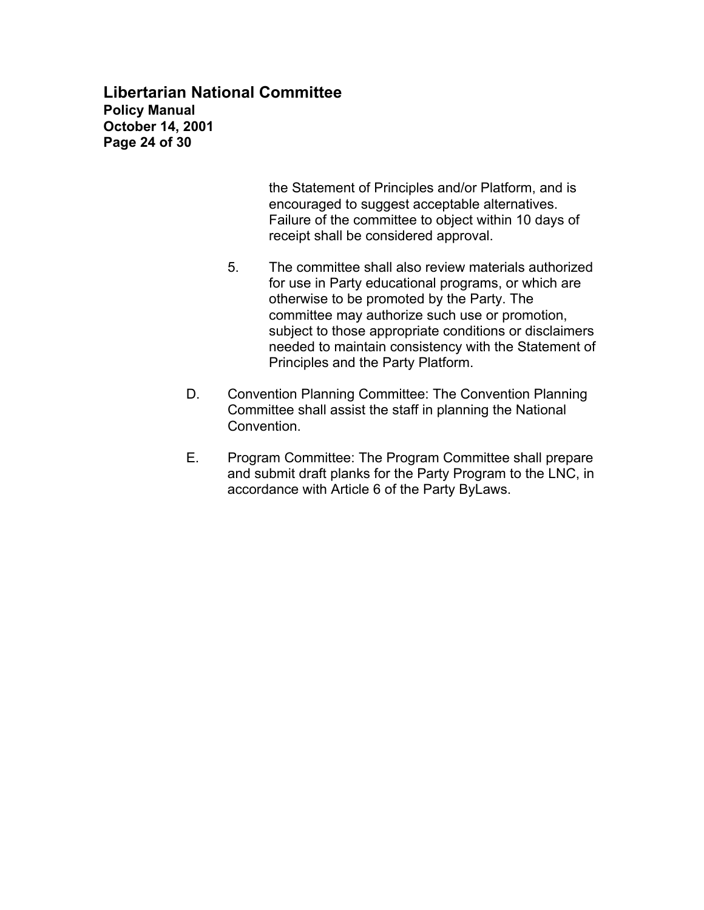# **Libertarian National Committee Policy Manual October 14, 2001 Page 24 of 30**

the Statement of Principles and/or Platform, and is encouraged to suggest acceptable alternatives. Failure of the committee to object within 10 days of receipt shall be considered approval.

- 5. The committee shall also review materials authorized for use in Party educational programs, or which are otherwise to be promoted by the Party. The committee may authorize such use or promotion, subject to those appropriate conditions or disclaimers needed to maintain consistency with the Statement of Principles and the Party Platform.
- D. Convention Planning Committee: The Convention Planning Committee shall assist the staff in planning the National Convention.
- E. Program Committee: The Program Committee shall prepare and submit draft planks for the Party Program to the LNC, in accordance with Article 6 of the Party ByLaws.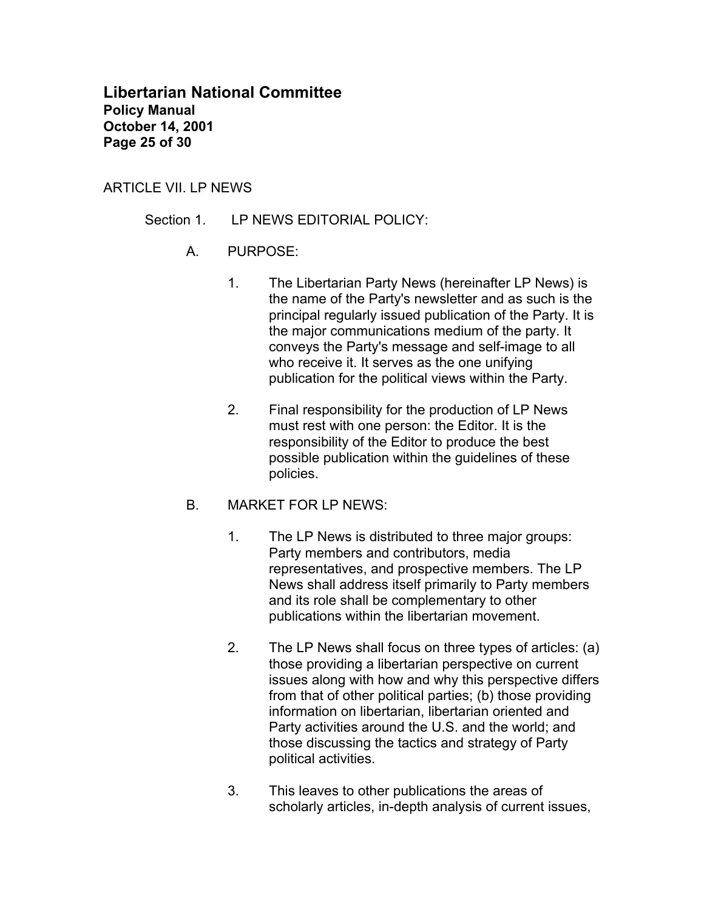**Libertarian National Committee Policy Manual October 14, 2001 Page 25 of 30**

#### ARTICLE VII. LP NEWS

- Section 1. LP NEWS EDITORIAL POLICY:
	- A. PURPOSE:
		- 1. The Libertarian Party News (hereinafter LP News) is the name of the Party's newsletter and as such is the principal regularly issued publication of the Party. It is the major communications medium of the party. It conveys the Party's message and self-image to all who receive it. It serves as the one unifying publication for the political views within the Party.
		- 2. Final responsibility for the production of LP News must rest with one person: the Editor. It is the responsibility of the Editor to produce the best possible publication within the guidelines of these policies.
	- B. MARKET FOR LP NEWS:
		- 1. The LP News is distributed to three major groups: Party members and contributors, media representatives, and prospective members. The LP News shall address itself primarily to Party members and its role shall be complementary to other publications within the libertarian movement.
		- 2. The LP News shall focus on three types of articles: (a) those providing a libertarian perspective on current issues along with how and why this perspective differs from that of other political parties; (b) those providing information on libertarian, libertarian oriented and Party activities around the U.S. and the world; and those discussing the tactics and strategy of Party political activities.
		- 3. This leaves to other publications the areas of scholarly articles, in-depth analysis of current issues,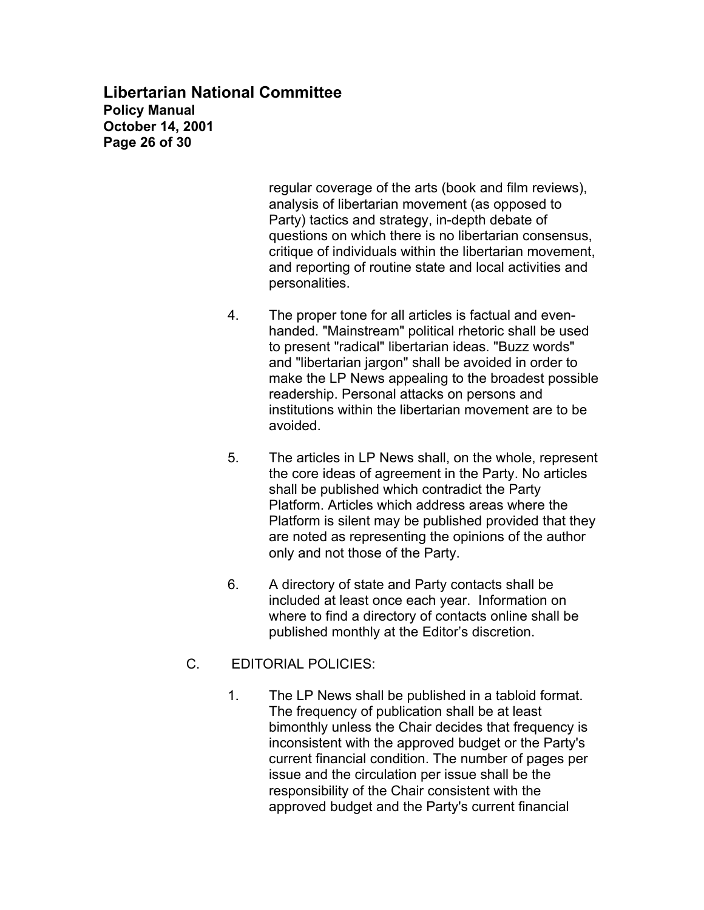**Libertarian National Committee Policy Manual October 14, 2001 Page 26 of 30**

> regular coverage of the arts (book and film reviews), analysis of libertarian movement (as opposed to Party) tactics and strategy, in-depth debate of questions on which there is no libertarian consensus, critique of individuals within the libertarian movement, and reporting of routine state and local activities and personalities.

- 4. The proper tone for all articles is factual and evenhanded. "Mainstream" political rhetoric shall be used to present "radical" libertarian ideas. "Buzz words" and "libertarian jargon" shall be avoided in order to make the LP News appealing to the broadest possible readership. Personal attacks on persons and institutions within the libertarian movement are to be avoided.
- 5. The articles in LP News shall, on the whole, represent the core ideas of agreement in the Party. No articles shall be published which contradict the Party Platform. Articles which address areas where the Platform is silent may be published provided that they are noted as representing the opinions of the author only and not those of the Party.
- 6. A directory of state and Party contacts shall be included at least once each year. Information on where to find a directory of contacts online shall be published monthly at the Editor's discretion.
- C. EDITORIAL POLICIES:
	- 1. The LP News shall be published in a tabloid format. The frequency of publication shall be at least bimonthly unless the Chair decides that frequency is inconsistent with the approved budget or the Party's current financial condition. The number of pages per issue and the circulation per issue shall be the responsibility of the Chair consistent with the approved budget and the Party's current financial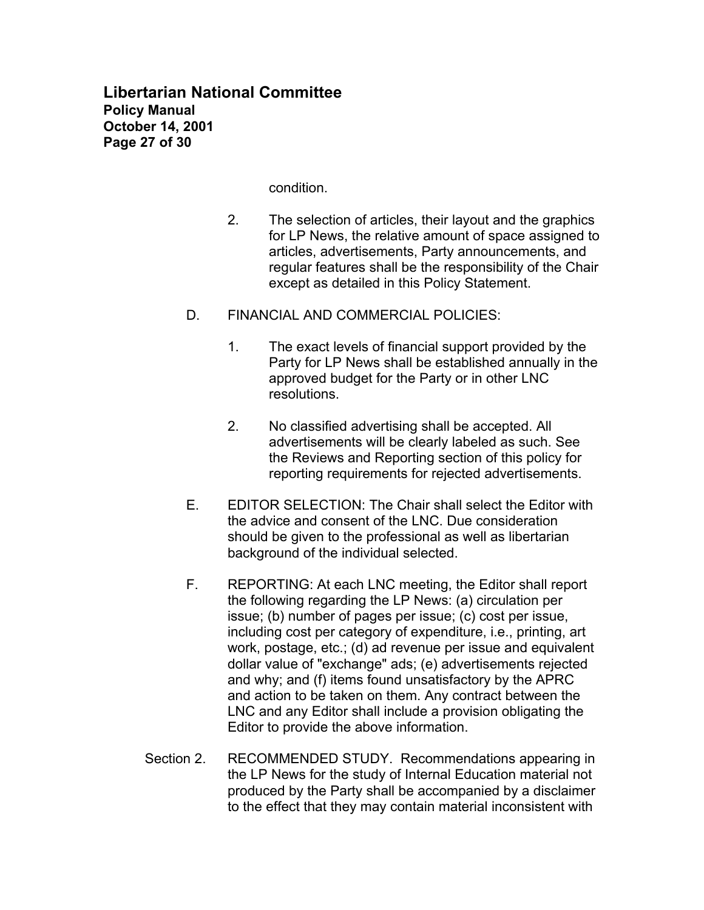condition.

- 2. The selection of articles, their layout and the graphics for LP News, the relative amount of space assigned to articles, advertisements, Party announcements, and regular features shall be the responsibility of the Chair except as detailed in this Policy Statement.
- D. FINANCIAL AND COMMERCIAL POLICIES:
	- 1. The exact levels of financial support provided by the Party for LP News shall be established annually in the approved budget for the Party or in other LNC resolutions.
	- 2. No classified advertising shall be accepted. All advertisements will be clearly labeled as such. See the Reviews and Reporting section of this policy for reporting requirements for rejected advertisements.
- E. EDITOR SELECTION: The Chair shall select the Editor with the advice and consent of the LNC. Due consideration should be given to the professional as well as libertarian background of the individual selected.
- F. REPORTING: At each LNC meeting, the Editor shall report the following regarding the LP News: (a) circulation per issue; (b) number of pages per issue; (c) cost per issue, including cost per category of expenditure, i.e., printing, art work, postage, etc.; (d) ad revenue per issue and equivalent dollar value of "exchange" ads; (e) advertisements rejected and why; and (f) items found unsatisfactory by the APRC and action to be taken on them. Any contract between the LNC and any Editor shall include a provision obligating the Editor to provide the above information.
- Section 2. RECOMMENDED STUDY. Recommendations appearing in the LP News for the study of Internal Education material not produced by the Party shall be accompanied by a disclaimer to the effect that they may contain material inconsistent with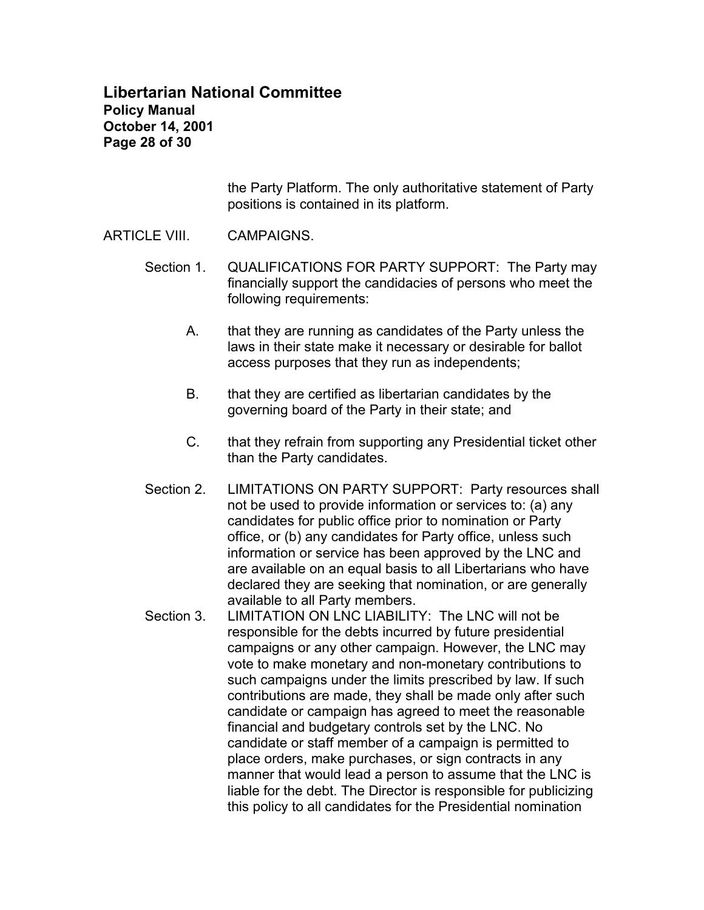# **Libertarian National Committee Policy Manual October 14, 2001 Page 28 of 30**

the Party Platform. The only authoritative statement of Party positions is contained in its platform.

### ARTICLE VIII. CAMPAIGNS.

- Section 1. QUALIFICATIONS FOR PARTY SUPPORT: The Party may financially support the candidacies of persons who meet the following requirements:
	- A. that they are running as candidates of the Party unless the laws in their state make it necessary or desirable for ballot access purposes that they run as independents;
	- B. that they are certified as libertarian candidates by the governing board of the Party in their state; and
	- C. that they refrain from supporting any Presidential ticket other than the Party candidates.
- Section 2. LIMITATIONS ON PARTY SUPPORT: Party resources shall not be used to provide information or services to: (a) any candidates for public office prior to nomination or Party office, or (b) any candidates for Party office, unless such information or service has been approved by the LNC and are available on an equal basis to all Libertarians who have declared they are seeking that nomination, or are generally available to all Party members.
- Section 3. LIMITATION ON LNC LIABILITY: The LNC will not be responsible for the debts incurred by future presidential campaigns or any other campaign. However, the LNC may vote to make monetary and non-monetary contributions to such campaigns under the limits prescribed by law. If such contributions are made, they shall be made only after such candidate or campaign has agreed to meet the reasonable financial and budgetary controls set by the LNC. No candidate or staff member of a campaign is permitted to place orders, make purchases, or sign contracts in any manner that would lead a person to assume that the LNC is liable for the debt. The Director is responsible for publicizing this policy to all candidates for the Presidential nomination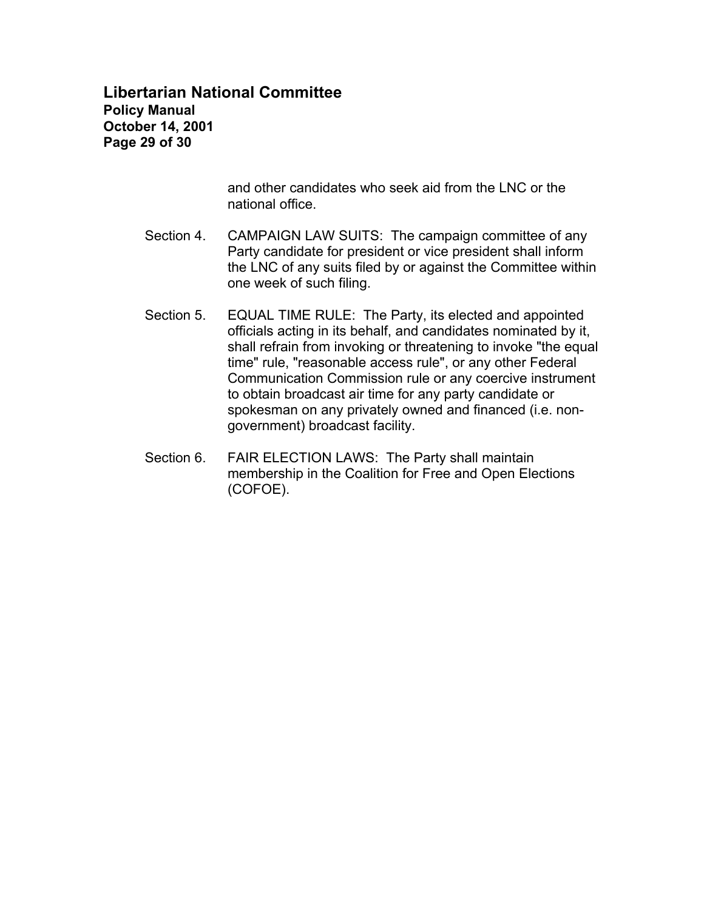# **Libertarian National Committee Policy Manual October 14, 2001 Page 29 of 30**

and other candidates who seek aid from the LNC or the national office.

- Section 4. CAMPAIGN LAW SUITS: The campaign committee of any Party candidate for president or vice president shall inform the LNC of any suits filed by or against the Committee within one week of such filing.
- Section 5. EQUAL TIME RULE: The Party, its elected and appointed officials acting in its behalf, and candidates nominated by it, shall refrain from invoking or threatening to invoke "the equal time" rule, "reasonable access rule", or any other Federal Communication Commission rule or any coercive instrument to obtain broadcast air time for any party candidate or spokesman on any privately owned and financed (i.e. nongovernment) broadcast facility.
- Section 6. FAIR ELECTION LAWS: The Party shall maintain membership in the Coalition for Free and Open Elections (COFOE).